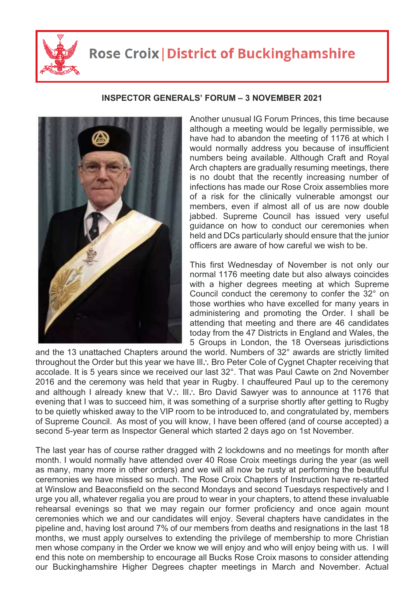

## **Rose Croix | District of Buckinghamshire**

## **INSPECTOR GENERALS' FORUM – 3 NOVEMBER 2021**



Another unusual IG Forum Princes, this time because although a meeting would be legally permissible, we have had to abandon the meeting of 1176 at which I would normally address you because of insufficient numbers being available. Although Craft and Royal Arch chapters are gradually resuming meetings, there is no doubt that the recently increasing number of infections has made our Rose Croix assemblies more of a risk for the clinically vulnerable amongst our members, even if almost all of us are now double jabbed. Supreme Council has issued very useful guidance on how to conduct our ceremonies when held and DCs particularly should ensure that the junior officers are aware of how careful we wish to be.

This first Wednesday of November is not only our normal 1176 meeting date but also always coincides with a higher degrees meeting at which Supreme Council conduct the ceremony to confer the 32° on those worthies who have excelled for many years in administering and promoting the Order. I shall be attending that meeting and there are 46 candidates today from the 47 Districts in England and Wales, the 5 Groups in London, the 18 Overseas jurisdictions

and the 13 unattached Chapters around the world. Numbers of 32° awards are strictly limited throughout the Order but this year we have III.. Bro Peter Cole of Cygnet Chapter receiving that accolade. It is 5 years since we received our last 32°. That was Paul Cawte on 2nd November 2016 and the ceremony was held that year in Rugby. I chauffeured Paul up to the ceremony and although I already knew that V.: III.: Bro David Sawyer was to announce at 1176 that evening that I was to succeed him, it was something of a surprise shortly after getting to Rugby to be quietly whisked away to the VIP room to be introduced to, and congratulated by, members of Supreme Council. As most of you will know, I have been offered (and of course accepted) a second 5-year term as Inspector General which started 2 days ago on 1st November.

The last year has of course rather dragged with 2 lockdowns and no meetings for month after month. I would normally have attended over 40 Rose Croix meetings during the year (as well as many, many more in other orders) and we will all now be rusty at performing the beautiful ceremonies we have missed so much. The Rose Croix Chapters of Instruction have re-started at Winslow and Beaconsfield on the second Mondays and second Tuesdays respectively and I urge you all, whatever regalia you are proud to wear in your chapters, to attend these invaluable rehearsal evenings so that we may regain our former proficiency and once again mount ceremonies which we and our candidates will enjoy. Several chapters have candidates in the pipeline and, having lost around 7% of our members from deaths and resignations in the last 18 months, we must apply ourselves to extending the privilege of membership to more Christian men whose company in the Order we know we will enjoy and who will enjoy being with us. I will end this note on membership to encourage all Bucks Rose Croix masons to consider attending our Buckinghamshire Higher Degrees chapter meetings in March and November. Actual